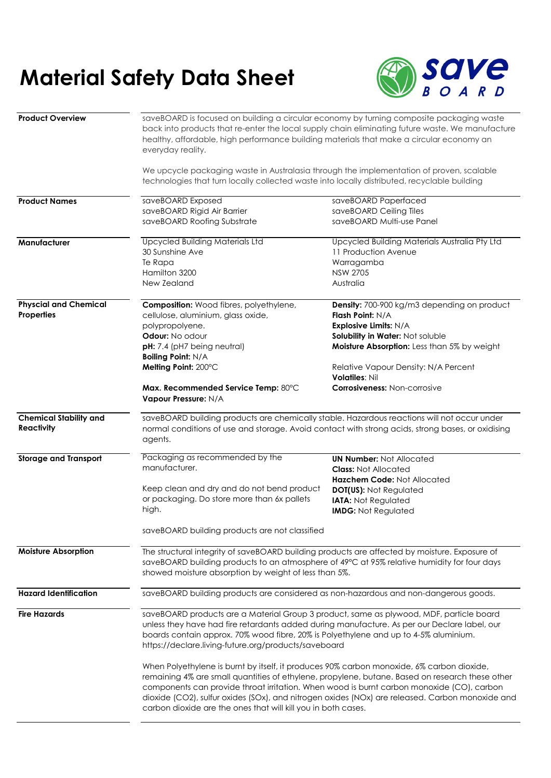## **Material Safety Data Sheet**



| <b>Product Overview</b>                     | everyday reality.                                                                                                                                                                                                                                                                                                                                                                                                                                             | saveBOARD is focused on building a circular economy by turning composite packaging waste<br>back into products that re-enter the local supply chain eliminating future waste. We manufacture<br>healthy, affordable, high performance building materials that make a circular economy an |  |
|---------------------------------------------|---------------------------------------------------------------------------------------------------------------------------------------------------------------------------------------------------------------------------------------------------------------------------------------------------------------------------------------------------------------------------------------------------------------------------------------------------------------|------------------------------------------------------------------------------------------------------------------------------------------------------------------------------------------------------------------------------------------------------------------------------------------|--|
|                                             | We upcycle packaging waste in Australasia through the implementation of proven, scalable<br>technologies that turn locally collected waste into locally distributed, recyclable building                                                                                                                                                                                                                                                                      |                                                                                                                                                                                                                                                                                          |  |
| <b>Product Names</b>                        | saveBOARD Exposed                                                                                                                                                                                                                                                                                                                                                                                                                                             | saveBOARD Paperfaced                                                                                                                                                                                                                                                                     |  |
|                                             | saveBOARD Rigid Air Barrier                                                                                                                                                                                                                                                                                                                                                                                                                                   | saveBOARD Ceiling Tiles                                                                                                                                                                                                                                                                  |  |
|                                             | saveBOARD Roofing Substrate                                                                                                                                                                                                                                                                                                                                                                                                                                   | saveBOARD Multi-use Panel                                                                                                                                                                                                                                                                |  |
| Manufacturer                                | <b>Upcycled Building Materials Ltd</b>                                                                                                                                                                                                                                                                                                                                                                                                                        | Upcycled Building Materials Australia Pty Ltd                                                                                                                                                                                                                                            |  |
|                                             | 30 Sunshine Ave                                                                                                                                                                                                                                                                                                                                                                                                                                               | 11 Production Avenue                                                                                                                                                                                                                                                                     |  |
|                                             | Te Rapa                                                                                                                                                                                                                                                                                                                                                                                                                                                       | Warragamba                                                                                                                                                                                                                                                                               |  |
|                                             | Hamilton 3200                                                                                                                                                                                                                                                                                                                                                                                                                                                 | <b>NSW 2705</b>                                                                                                                                                                                                                                                                          |  |
|                                             | New Zealand                                                                                                                                                                                                                                                                                                                                                                                                                                                   | Australia                                                                                                                                                                                                                                                                                |  |
| <b>Physcial and Chemical</b>                | <b>Composition:</b> Wood fibres, polyethylene,                                                                                                                                                                                                                                                                                                                                                                                                                | Density: 700-900 kg/m3 depending on product                                                                                                                                                                                                                                              |  |
| Properties                                  | cellulose, aluminium, glass oxide,                                                                                                                                                                                                                                                                                                                                                                                                                            | Flash Point: N/A                                                                                                                                                                                                                                                                         |  |
|                                             | polypropolyene.                                                                                                                                                                                                                                                                                                                                                                                                                                               | <b>Explosive Limits: N/A</b>                                                                                                                                                                                                                                                             |  |
|                                             | Odour: No odour                                                                                                                                                                                                                                                                                                                                                                                                                                               | Solubility in Water: Not soluble                                                                                                                                                                                                                                                         |  |
|                                             | pH: 7.4 (pH7 being neutral)                                                                                                                                                                                                                                                                                                                                                                                                                                   | Moisture Absorption: Less than 5% by weight                                                                                                                                                                                                                                              |  |
|                                             | <b>Boiling Point: N/A</b>                                                                                                                                                                                                                                                                                                                                                                                                                                     |                                                                                                                                                                                                                                                                                          |  |
|                                             | Melting Point: 200°C                                                                                                                                                                                                                                                                                                                                                                                                                                          | Relative Vapour Density: N/A Percent<br><b>Volatiles: Nil</b>                                                                                                                                                                                                                            |  |
|                                             | Max. Recommended Service Temp: 80°C                                                                                                                                                                                                                                                                                                                                                                                                                           | <b>Corrosiveness: Non-corrosive</b>                                                                                                                                                                                                                                                      |  |
|                                             | <b>Vapour Pressure: N/A</b>                                                                                                                                                                                                                                                                                                                                                                                                                                   |                                                                                                                                                                                                                                                                                          |  |
| <b>Chemical Stability and</b><br>Reactivity | saveBOARD building products are chemically stable. Hazardous reactions will not occur under<br>normal conditions of use and storage. Avoid contact with strong acids, strong bases, or oxidising<br>agents.                                                                                                                                                                                                                                                   |                                                                                                                                                                                                                                                                                          |  |
| <b>Storage and Transport</b>                | Packaging as recommended by the                                                                                                                                                                                                                                                                                                                                                                                                                               | <b>UN Number: Not Allocated</b>                                                                                                                                                                                                                                                          |  |
|                                             | manufacturer.                                                                                                                                                                                                                                                                                                                                                                                                                                                 | <b>Class: Not Allocated</b>                                                                                                                                                                                                                                                              |  |
|                                             |                                                                                                                                                                                                                                                                                                                                                                                                                                                               | Hazchem Code: Not Allocated                                                                                                                                                                                                                                                              |  |
|                                             | Keep clean and dry and do not bend product                                                                                                                                                                                                                                                                                                                                                                                                                    | <b>DOT(US): Not Regulated</b>                                                                                                                                                                                                                                                            |  |
|                                             | or packaging. Do store more than 6x pallets                                                                                                                                                                                                                                                                                                                                                                                                                   | <b>IATA: Not Regulated</b>                                                                                                                                                                                                                                                               |  |
|                                             | high.                                                                                                                                                                                                                                                                                                                                                                                                                                                         | <b>IMDG: Not Regulated</b>                                                                                                                                                                                                                                                               |  |
|                                             | saveBOARD building products are not classified                                                                                                                                                                                                                                                                                                                                                                                                                |                                                                                                                                                                                                                                                                                          |  |
| <b>Moisture Absorption</b>                  | The structural integrity of saveBOARD building products are affected by moisture. Exposure of<br>saveBOARD building products to an atmosphere of 49°C at 95% relative humidity for four days<br>showed moisture absorption by weight of less than 5%.                                                                                                                                                                                                         |                                                                                                                                                                                                                                                                                          |  |
| <b>Hazard Identification</b>                | saveBOARD building products are considered as non-hazardous and non-dangerous goods.                                                                                                                                                                                                                                                                                                                                                                          |                                                                                                                                                                                                                                                                                          |  |
| <b>Fire Hazards</b>                         | saveBOARD products are a Material Group 3 product, same as plywood, MDF, particle board                                                                                                                                                                                                                                                                                                                                                                       |                                                                                                                                                                                                                                                                                          |  |
|                                             | unless they have had fire retardants added during manufacture. As per our Declare label, our<br>boards contain approx. 70% wood fibre, 20% is Polyethylene and up to 4-5% aluminium.<br>https://declare.living-future.org/products/saveboard                                                                                                                                                                                                                  |                                                                                                                                                                                                                                                                                          |  |
|                                             | When Polyethylene is burnt by itself, it produces 90% carbon monoxide, 6% carbon dioxide,<br>remaining 4% are small quantities of ethylene, propylene, butane. Based on research these other<br>components can provide throat irritation. When wood is burnt carbon monoxide (CO), carbon<br>dioxide (CO2), sulfur oxides (SOx), and nitrogen oxides (NOx) are released. Carbon monoxide and<br>carbon dioxide are the ones that will kill you in both cases. |                                                                                                                                                                                                                                                                                          |  |